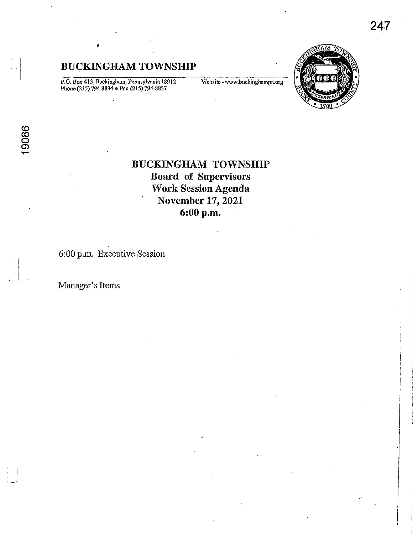P.O. Box 413, Buckingham, Pennsylvania 18912<br>Phone (215) 794-8834 • Fax (215) 794-8837

Website-www.buckinghampa.org



# **BUCKINGHAM TOWNSHIP Board of Supervisors Work Session Agenda** November 17, 2021 6:00 p.m.

6:00 p.m. Executive Session

Manager's Items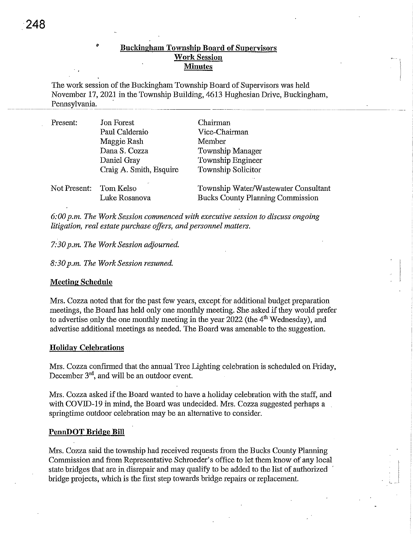# • Buckiugham Township Board of Supervisors Work Session **Minutes**

The work session of the Buckingham Township Board of Supervisors was held November 17, 2021 in the Township Building, 4613 Hughesian Drive, Buckingham, Pennsylvania.

| Present:               | <b>Jon Forest</b>       | Chairman                                |
|------------------------|-------------------------|-----------------------------------------|
|                        | Paul Calderaio          | Vice-Chairman                           |
|                        | Maggie Rash             | Member                                  |
|                        | Dana S. Cozza           | Township Manager                        |
|                        | Daniel Gray             | Township Engineer                       |
|                        | Craig A. Smith, Esquire | <b>Township Solicitor</b>               |
| Not Present: Tom Kelso |                         | Township Water/Wastewater Consultant    |
|                        | Luke Rosanova           | <b>Bucks County Planning Commission</b> |

*6:00 p.m. The Work Session commenced with executive session to discuss ongoing litigation, real estate purchase offers, and personnel matters.* 

## *7:30 p.m. The Work Session adjourned.*

*8:30 p.m. The Work Session resumed.* 

## Meeting Schedule

Mrs. Cozza noted that for the past few years, except for additional budget preparation meetings, the Board has held only one monthly meeting. She asked if they would prefer to advertise only the one monthly meeting in the year  $2022$  (the  $4<sup>th</sup>$  Wednesday), and advertise additional meetings as needed. The Board was amenable to the suggestion.

#### Holiday Celebrations

Mrs. Cozza confirmed that the annual Tree Lighting celebration is scheduled on Friday, December  $3<sup>rd</sup>$ , and will be an outdoor event.

Mrs. Cozza asked if the Board wanted to have a holiday celebration with the staff, and with COVID-19 in mind, the Board was undecided. Mrs. Cozza suggested perhaps a springtime outdoor celebration may be an alternative to consider.

#### PennDOT Bridge Bill

Mrs. Cozza said the township had received requests from the Bucks County Planning Commission and from Representative Schroeder's office to let them know of any local state bridges that are in disrepair and may qualify to be added to the list of authorized bridge projects, which is the first step towards bridge repairs or replacement.